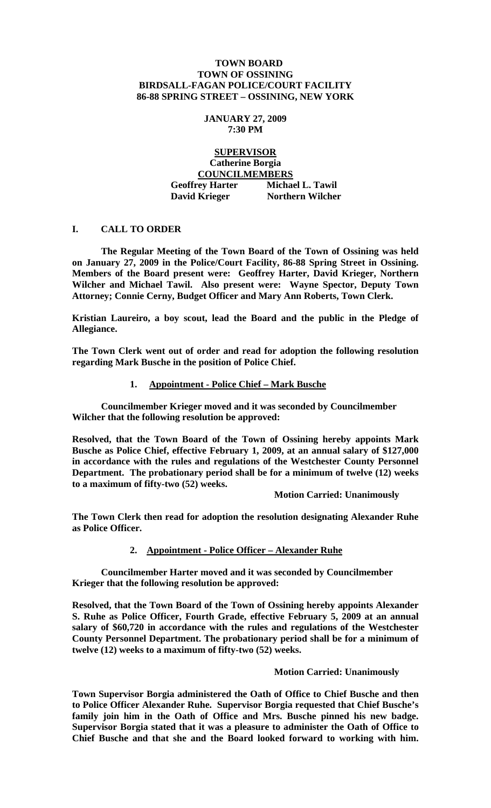## **TOWN BOARD TOWN OF OSSINING BIRDSALL-FAGAN POLICE/COURT FACILITY 86-88 SPRING STREET – OSSINING, NEW YORK**

#### **JANUARY 27, 2009 7:30 PM**

# **SUPERVISOR Catherine Borgia COUNCILMEMBERS Geoffrey Harter Michael L. Tawil David Krieger** Northern Wilcher

## **I. CALL TO ORDER**

 **The Regular Meeting of the Town Board of the Town of Ossining was held on January 27, 2009 in the Police/Court Facility, 86-88 Spring Street in Ossining. Members of the Board present were: Geoffrey Harter, David Krieger, Northern Wilcher and Michael Tawil. Also present were: Wayne Spector, Deputy Town Attorney; Connie Cerny, Budget Officer and Mary Ann Roberts, Town Clerk.** 

**Kristian Laureiro, a boy scout, lead the Board and the public in the Pledge of Allegiance.** 

**The Town Clerk went out of order and read for adoption the following resolution regarding Mark Busche in the position of Police Chief.** 

#### **1. Appointment - Police Chief – Mark Busche**

 **Councilmember Krieger moved and it was seconded by Councilmember Wilcher that the following resolution be approved:** 

**Resolved, that the Town Board of the Town of Ossining hereby appoints Mark Busche as Police Chief, effective February 1, 2009, at an annual salary of \$127,000 in accordance with the rules and regulations of the Westchester County Personnel Department. The probationary period shall be for a minimum of twelve (12) weeks to a maximum of fifty-two (52) weeks.** 

 **Motion Carried: Unanimously** 

**The Town Clerk then read for adoption the resolution designating Alexander Ruhe as Police Officer.** 

# **2. Appointment - Police Officer – Alexander Ruhe**

 **Councilmember Harter moved and it was seconded by Councilmember Krieger that the following resolution be approved:** 

**Resolved, that the Town Board of the Town of Ossining hereby appoints Alexander S. Ruhe as Police Officer, Fourth Grade, effective February 5, 2009 at an annual salary of \$60,720 in accordance with the rules and regulations of the Westchester County Personnel Department. The probationary period shall be for a minimum of twelve (12) weeks to a maximum of fifty-two (52) weeks.** 

#### **Motion Carried: Unanimously**

**Town Supervisor Borgia administered the Oath of Office to Chief Busche and then to Police Officer Alexander Ruhe. Supervisor Borgia requested that Chief Busche's family join him in the Oath of Office and Mrs. Busche pinned his new badge. Supervisor Borgia stated that it was a pleasure to administer the Oath of Office to Chief Busche and that she and the Board looked forward to working with him.**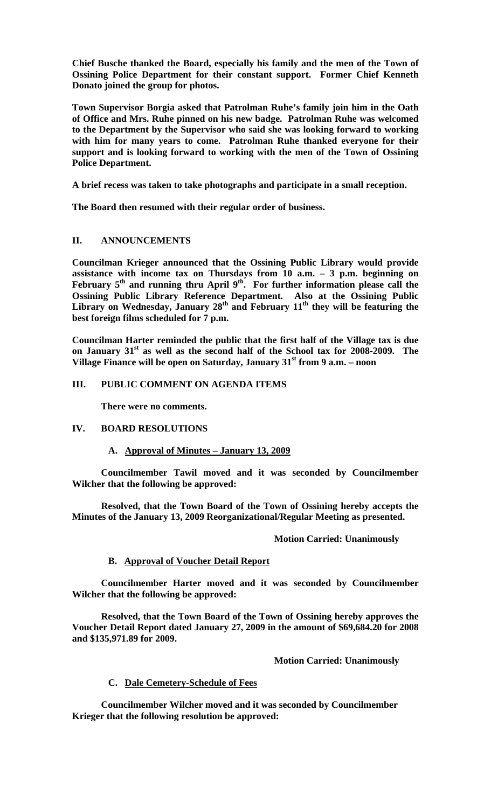**Chief Busche thanked the Board, especially his family and the men of the Town of Ossining Police Department for their constant support. Former Chief Kenneth Donato joined the group for photos.** 

**Town Supervisor Borgia asked that Patrolman Ruhe's family join him in the Oath of Office and Mrs. Ruhe pinned on his new badge. Patrolman Ruhe was welcomed to the Department by the Supervisor who said she was looking forward to working with him for many years to come. Patrolman Ruhe thanked everyone for their support and is looking forward to working with the men of the Town of Ossining Police Department.** 

**A brief recess was taken to take photographs and participate in a small reception.** 

**The Board then resumed with their regular order of business.** 

## **II. ANNOUNCEMENTS**

**Councilman Krieger announced that the Ossining Public Library would provide assistance with income tax on Thursdays from 10 a.m. – 3 p.m. beginning on**  February 5<sup>th</sup> and running thru April 9<sup>th</sup>. For further information please call the **Ossining Public Library Reference Department. Also at the Ossining Public**  Library on Wednesday, January 28<sup>th</sup> and February 11<sup>th</sup> they will be featuring the **best foreign films scheduled for 7 p.m.** 

**Councilman Harter reminded the public that the first half of the Village tax is due on January 31st as well as the second half of the School tax for 2008-2009. The Village Finance will be open on Saturday, January 31st from 9 a.m. – noon** 

## **III. PUBLIC COMMENT ON AGENDA ITEMS**

 **There were no comments.** 

#### **IV. BOARD RESOLUTIONS**

## **A. Approval of Minutes – January 13, 2009**

 **Councilmember Tawil moved and it was seconded by Councilmember Wilcher that the following be approved:** 

 **Resolved, that the Town Board of the Town of Ossining hereby accepts the Minutes of the January 13, 2009 Reorganizational/Regular Meeting as presented.** 

## **Motion Carried: Unanimously**

# **B. Approval of Voucher Detail Report**

 **Councilmember Harter moved and it was seconded by Councilmember Wilcher that the following be approved:** 

 **Resolved, that the Town Board of the Town of Ossining hereby approves the Voucher Detail Report dated January 27, 2009 in the amount of \$69,684.20 for 2008 and \$135,971.89 for 2009.** 

 **Motion Carried: Unanimously** 

## **C. Dale Cemetery-Schedule of Fees**

**Councilmember Wilcher moved and it was seconded by Councilmember Krieger that the following resolution be approved:**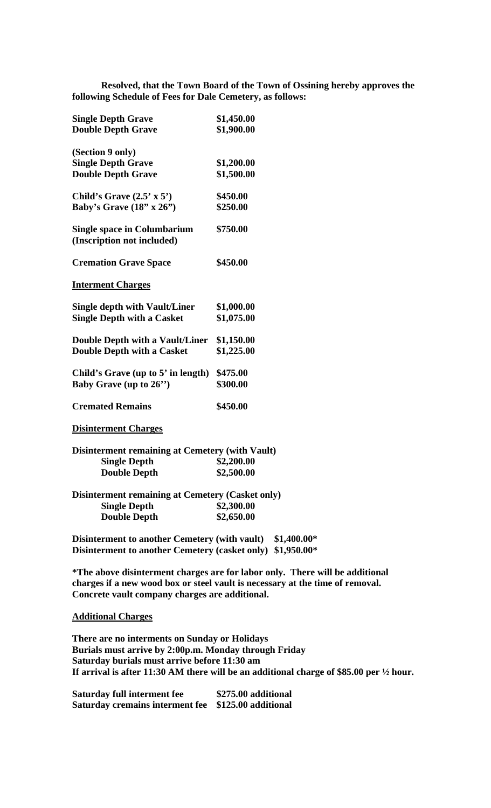**Resolved, that the Town Board of the Town of Ossining hereby approves the following Schedule of Fees for Dale Cemetery, as follows:** 

| <b>Single Depth Grave</b>                               | \$1,450.00 |
|---------------------------------------------------------|------------|
| <b>Double Depth Grave</b>                               | \$1,900.00 |
|                                                         |            |
| (Section 9 only)                                        |            |
| <b>Single Depth Grave</b>                               | \$1,200.00 |
| <b>Double Depth Grave</b>                               | \$1,500.00 |
| Child's Grave $(2.5' \times 5')$                        | \$450.00   |
| Baby's Grave $(18" \times 26")$                         | \$250.00   |
|                                                         |            |
| <b>Single space in Columbarium</b>                      | \$750.00   |
| (Inscription not included)                              |            |
|                                                         |            |
| <b>Cremation Grave Space</b>                            | \$450.00   |
| <b>Interment Charges</b>                                |            |
|                                                         |            |
| <b>Single depth with Vault/Liner</b>                    | \$1,000.00 |
| <b>Single Depth with a Casket</b>                       | \$1,075.00 |
|                                                         |            |
| Double Depth with a Vault/Liner                         | \$1,150.00 |
| <b>Double Depth with a Casket</b>                       | \$1,225.00 |
|                                                         |            |
| Child's Grave (up to 5' in length)                      | \$475.00   |
| Baby Grave (up to $26$ ")                               | \$300.00   |
| <b>Cremated Remains</b>                                 | \$450.00   |
|                                                         |            |
| <b>Disinterment Charges</b>                             |            |
|                                                         |            |
| <b>Disinterment remaining at Cemetery (with Vault)</b>  |            |
| <b>Single Depth</b>                                     | \$2,200.00 |
| <b>Double Depth</b>                                     | \$2,500.00 |
| <b>Disinterment remaining at Cemetery (Casket only)</b> |            |
| <b>Single Depth</b>                                     | \$2,300.00 |
| <b>Double Depth</b>                                     | \$2,650.00 |
|                                                         |            |
|                                                         |            |

**Disinterment to another Cemetery (with vault) \$1,400.00\* Disinterment to another Cemetery (casket only) \$1,950.00\*** 

**\*The above disinterment charges are for labor only. There will be additional charges if a new wood box or steel vault is necessary at the time of removal. Concrete vault company charges are additional.** 

**Additional Charges**

**There are no interments on Sunday or Holidays Burials must arrive by 2:00p.m. Monday through Friday Saturday burials must arrive before 11:30 am If arrival is after 11:30 AM there will be an additional charge of \$85.00 per ½ hour.** 

**Saturday full interment fee \$275.00 additional Saturday cremains interment fee \$125.00 additional**